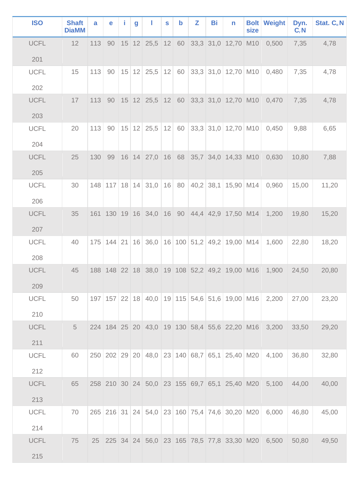| <b>ISO</b>  | <b>Shaft</b><br><b>DiaMM</b> | a   | e  | g |                       | S | $\mathbf b$ | Z | Bi | n                                                                 | <b>Bolt</b><br>size | Weight                                              | Dyn.<br>$C_r N$ | Stat. C.N |
|-------------|------------------------------|-----|----|---|-----------------------|---|-------------|---|----|-------------------------------------------------------------------|---------------------|-----------------------------------------------------|-----------------|-----------|
| <b>UCFL</b> | 12                           | 113 | 90 |   |                       |   |             |   |    | $\vert$ 15 12 25,5 12 60 33,3 31,0 12,70 M10                      |                     | 0,500                                               | 7,35            | 4,78      |
| 201         |                              |     |    |   |                       |   |             |   |    |                                                                   |                     |                                                     |                 |           |
| <b>UCFL</b> | 15                           | 113 | 90 |   | $15$ 12 25,5 12 60    |   |             |   |    | 33,3 31,0 12,70 M10                                               |                     | 0,480                                               | 7,35            | 4,78      |
| 202         |                              |     |    |   |                       |   |             |   |    |                                                                   |                     |                                                     |                 |           |
| <b>UCFL</b> | 17                           | 113 |    |   |                       |   |             |   |    | 90 15 12 25,5 12 60 33,3 31,0 12,70 M10                           |                     | 0,470                                               | 7,35            | 4,78      |
| 203         |                              |     |    |   |                       |   |             |   |    |                                                                   |                     |                                                     |                 |           |
| <b>UCFL</b> | 20                           | 113 | 90 |   | $15$ 12 25,5 12       |   | 60          |   |    | $33,3$ 31,0 12,70 M10                                             |                     | 0,450                                               | 9,88            | 6,65      |
| 204         |                              |     |    |   |                       |   |             |   |    |                                                                   |                     |                                                     |                 |           |
| <b>UCFL</b> | 25                           | 130 | 99 |   |                       |   |             |   |    | 16 14 27,0 16 68 35,7 34,0 14,33 M10                              |                     | 0,630                                               | 10,80           | 7,88      |
| 205         |                              |     |    |   |                       |   |             |   |    |                                                                   |                     |                                                     |                 |           |
| <b>UCFL</b> | 30                           |     |    |   | 148 117 18 14 31,0 16 |   | 80          |   |    | $40,2$ 38,1 15,90 M14                                             |                     | 0,960                                               | 15,00           | 11,20     |
| 206         |                              |     |    |   |                       |   |             |   |    |                                                                   |                     |                                                     |                 |           |
| <b>UCFL</b> | 35                           |     |    |   |                       |   |             |   |    | 161 130 19 16 34,0 16 90 44,4 42,9 17,50 M14                      |                     | 1,200                                               | 19,80           | 15,20     |
| 207         |                              |     |    |   |                       |   |             |   |    |                                                                   |                     |                                                     |                 |           |
| <b>UCFL</b> | 40                           |     |    |   |                       |   |             |   |    | 175   144   21   16   36,0   16   100   51,2   49,2   19,00   M14 |                     | 1,600                                               | 22,80           | 18,20     |
| 208         |                              |     |    |   |                       |   |             |   |    |                                                                   |                     |                                                     |                 |           |
| <b>UCFL</b> | 45                           |     |    |   |                       |   |             |   |    | 188 148 22 18 38,0 19 108 52,2 49,2 19,00 M16                     |                     | 1,900                                               | 24,50           | 20,80     |
| 209         |                              |     |    |   |                       |   |             |   |    |                                                                   |                     |                                                     |                 |           |
| UCFL        | 50                           |     |    |   |                       |   |             |   |    | 197   157   22   18   40,0   19   115   54,6   51,6   19,00   M16 |                     | 2,200                                               | 27,00           | 23,20     |
| 210         |                              |     |    |   |                       |   |             |   |    |                                                                   |                     |                                                     |                 |           |
| UCFL        | 5                            |     |    |   |                       |   |             |   |    |                                                                   |                     | 224 184 25 20 43,0 19 130 58,4 55,6 22,20 M16 3,200 | 33,50           | 29,20     |
| 211         |                              |     |    |   |                       |   |             |   |    |                                                                   |                     |                                                     |                 |           |
| <b>UCFL</b> | 60                           |     |    |   |                       |   |             |   |    | 250 202 29 20 48,0 23 140 68,7 65,1 25,40 M20                     |                     | 4,100                                               | 36,80           | 32,80     |
| 212         |                              |     |    |   |                       |   |             |   |    |                                                                   |                     |                                                     |                 |           |
| <b>UCFL</b> | 65                           |     |    |   |                       |   |             |   |    | 258 210 30 24 50,0 23 155 69,7 65,1 25,40 M20                     |                     | 5,100                                               | 44,00           | 40,00     |
| 213         |                              |     |    |   |                       |   |             |   |    |                                                                   |                     |                                                     |                 |           |
| UCFL        | 70                           |     |    |   |                       |   |             |   |    | 265 216 31 24 54,0 23 160 75,4 74,6 30,20 M20                     |                     | 6,000                                               | 46,80           | 45,00     |
| 214         |                              |     |    |   |                       |   |             |   |    |                                                                   |                     |                                                     |                 |           |
| <b>UCFL</b> | 75                           |     |    |   |                       |   |             |   |    | 25 225 34 24 56,0 23 165 78,5 77,8 33,30 M20                      |                     | 6,500                                               | 50,80           | 49,50     |
| 215         |                              |     |    |   |                       |   |             |   |    |                                                                   |                     |                                                     |                 |           |